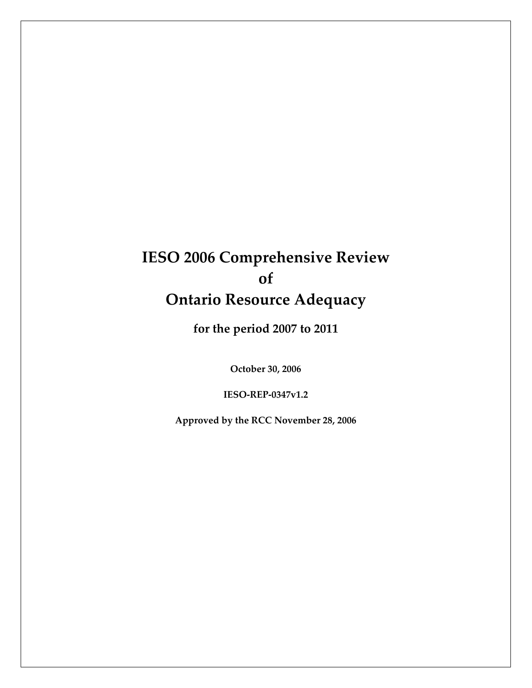# **IESO 2006 Comprehensive Review of Ontario Resource Adequacy**

**for the period 2007 to 2011**

**October 30, 2006**

**IESO‐REP‐0347v1.2**

**Approved by the RCC November 28, 2006**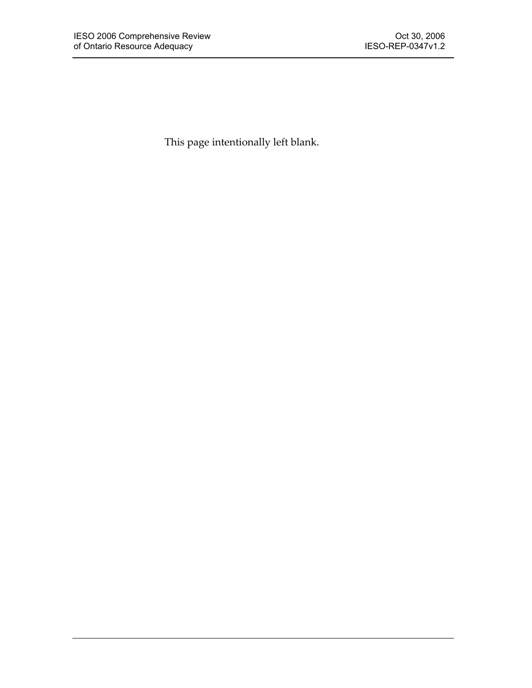This page intentionally left blank.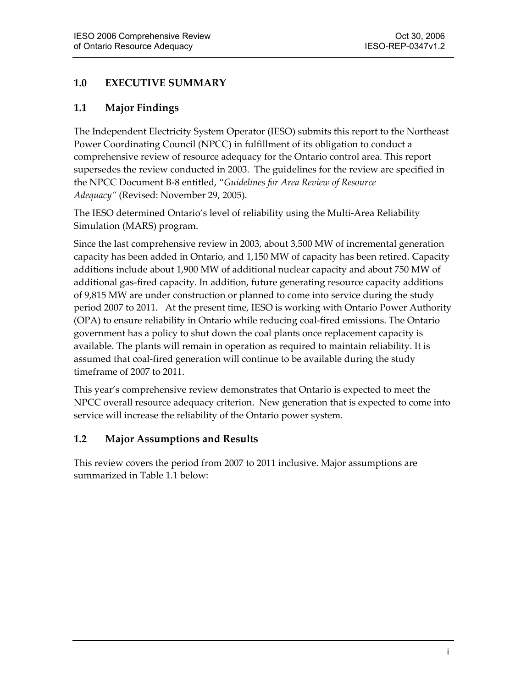#### **1.0 EXECUTIVE SUMMARY**

#### **1.1 Major Findings**

The Independent Electricity System Operator (IESO) submits this report to the Northeast Power Coordinating Council (NPCC) in fulfillment of its obligation to conduct a comprehensive review of resource adequacy for the Ontario control area. This report supersedes the review conducted in 2003. The guidelines for the review are specified in the NPCC Document B‐8 entitled, "*Guidelines for Area Review of Resource Adequacy"* (Revised: November 29, 2005).

The IESO determined Ontario's level of reliability using the Multi‐Area Reliability Simulation (MARS) program.

Since the last comprehensive review in 2003, about 3,500 MW of incremental generation capacity has been added in Ontario, and 1,150 MW of capacity has been retired. Capacity additions include about 1,900 MW of additional nuclear capacity and about 750 MW of additional gas‐fired capacity. In addition, future generating resource capacity additions of 9,815 MW are under construction or planned to come into service during the study period 2007 to 2011. At the present time, IESO is working with Ontario Power Authority (OPA) to ensure reliability in Ontario while reducing coal‐fired emissions. The Ontario government has a policy to shut down the coal plants once replacement capacity is available. The plants will remain in operation as required to maintain reliability. It is assumed that coal‐fired generation will continue to be available during the study timeframe of 2007 to 2011.

This year's comprehensive review demonstrates that Ontario is expected to meet the NPCC overall resource adequacy criterion. New generation that is expected to come into service will increase the reliability of the Ontario power system.

#### **1.2 Major Assumptions and Results**

This review covers the period from 2007 to 2011 inclusive. Major assumptions are summarized in Table 1.1 below: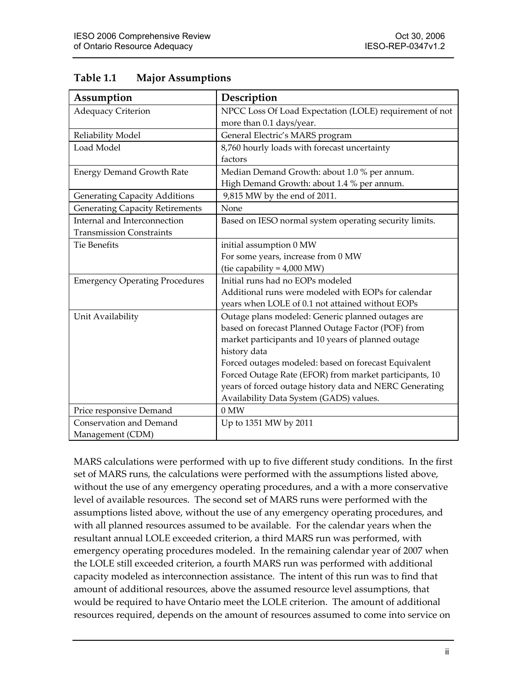| Assumption                                                      | Description                                                                                |
|-----------------------------------------------------------------|--------------------------------------------------------------------------------------------|
| <b>Adequacy Criterion</b>                                       | NPCC Loss Of Load Expectation (LOLE) requirement of not<br>more than 0.1 days/year.        |
| Reliability Model                                               | General Electric's MARS program                                                            |
| Load Model                                                      | 8,760 hourly loads with forecast uncertainty<br>factors                                    |
| <b>Energy Demand Growth Rate</b>                                | Median Demand Growth: about 1.0 % per annum.<br>High Demand Growth: about 1.4 % per annum. |
| <b>Generating Capacity Additions</b>                            | 9,815 MW by the end of 2011.                                                               |
| <b>Generating Capacity Retirements</b>                          | None                                                                                       |
| Internal and Interconnection<br><b>Transmission Constraints</b> | Based on IESO normal system operating security limits.                                     |
| <b>Tie Benefits</b>                                             | initial assumption 0 MW                                                                    |
|                                                                 | For some years, increase from 0 MW                                                         |
|                                                                 | (tie capability = $4,000$ MW)                                                              |
| <b>Emergency Operating Procedures</b>                           | Initial runs had no EOPs modeled                                                           |
|                                                                 | Additional runs were modeled with EOPs for calendar                                        |
|                                                                 | years when LOLE of 0.1 not attained without EOPs                                           |
| Unit Availability                                               | Outage plans modeled: Generic planned outages are                                          |
|                                                                 | based on forecast Planned Outage Factor (POF) from                                         |
|                                                                 | market participants and 10 years of planned outage                                         |
|                                                                 | history data                                                                               |
|                                                                 | Forced outages modeled: based on forecast Equivalent                                       |
|                                                                 | Forced Outage Rate (EFOR) from market participants, 10                                     |
|                                                                 | years of forced outage history data and NERC Generating                                    |
|                                                                 | Availability Data System (GADS) values.                                                    |
| Price responsive Demand                                         | 0 MW                                                                                       |
| <b>Conservation and Demand</b>                                  | Up to 1351 MW by 2011                                                                      |
| Management (CDM)                                                |                                                                                            |

#### **Table 1.1 Major Assumptions**

MARS calculations were performed with up to five different study conditions. In the first set of MARS runs, the calculations were performed with the assumptions listed above, without the use of any emergency operating procedures, and a with a more conservative level of available resources. The second set of MARS runs were performed with the assumptions listed above, without the use of any emergency operating procedures, and with all planned resources assumed to be available. For the calendar years when the resultant annual LOLE exceeded criterion, a third MARS run was performed, with emergency operating procedures modeled. In the remaining calendar year of 2007 when the LOLE still exceeded criterion, a fourth MARS run was performed with additional capacity modeled as interconnection assistance. The intent of this run was to find that amount of additional resources, above the assumed resource level assumptions, that would be required to have Ontario meet the LOLE criterion. The amount of additional resources required, depends on the amount of resources assumed to come into service on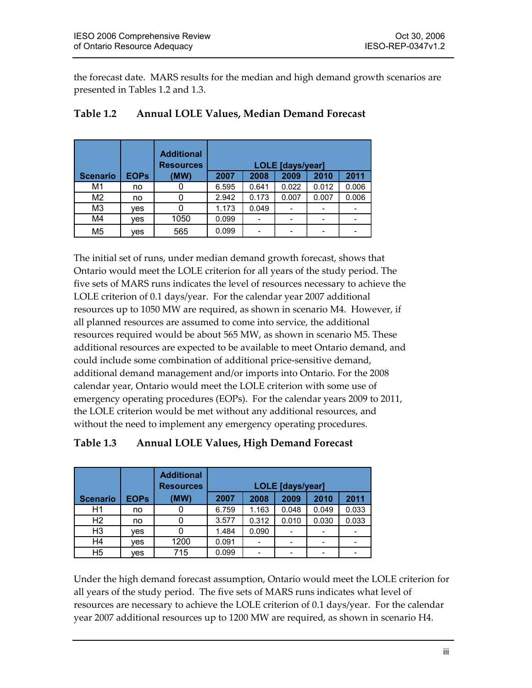the forecast date. MARS results for the median and high demand growth scenarios are presented in Tables 1.2 and 1.3.

|                 |             | <b>Additional</b><br><b>Resources</b> |       |       | <b>LOLE</b> [days/year] |       |       |
|-----------------|-------------|---------------------------------------|-------|-------|-------------------------|-------|-------|
| <b>Scenario</b> | <b>EOPs</b> | (MW)                                  | 2007  | 2008  | 2009                    | 2010  | 2011  |
| M <sub>1</sub>  | no          |                                       | 6.595 | 0.641 | 0.022                   | 0.012 | 0.006 |
| M <sub>2</sub>  | no          |                                       | 2.942 | 0.173 | 0.007                   | 0.007 | 0.006 |
| M <sub>3</sub>  | ves         |                                       | 1.173 | 0.049 |                         |       |       |
| M4              | ves         | 1050                                  | 0.099 |       |                         |       |       |
| M <sub>5</sub>  | ves         | 565                                   | 0.099 |       |                         |       |       |

#### **Table 1.2 Annual LOLE Values, Median Demand Forecast**

The initial set of runs, under median demand growth forecast, shows that Ontario would meet the LOLE criterion for all years of the study period. The five sets of MARS runs indicates the level of resources necessary to achieve the LOLE criterion of 0.1 days/year. For the calendar year 2007 additional resources up to 1050 MW are required, as shown in scenario M4. However, if all planned resources are assumed to come into service, the additional resources required would be about 565 MW, as shown in scenario M5. These additional resources are expected to be available to meet Ontario demand, and could include some combination of additional price-sensitive demand, additional demand management and/or imports into Ontario. For the 2008 calendar year, Ontario would meet the LOLE criterion with some use of emergency operating procedures (EOPs). For the calendar years 2009 to 2011, the LOLE criterion would be met without any additional resources, and without the need to implement any emergency operating procedures.

#### **Table 1.3 Annual LOLE Values, High Demand Forecast**

|                 |             | <b>Additional</b><br><b>Resources</b> |       |       | <b>LOLE</b> [days/year] |       |       |
|-----------------|-------------|---------------------------------------|-------|-------|-------------------------|-------|-------|
| <b>Scenario</b> | <b>EOPs</b> | (MW)                                  | 2007  | 2008  | 2009                    | 2010  | 2011  |
| H1              | no          |                                       | 6.759 | 1.163 | 0.048                   | 0.049 | 0.033 |
| H <sub>2</sub>  | no          |                                       | 3.577 | 0.312 | 0.010                   | 0.030 | 0.033 |
| H <sub>3</sub>  | ves         |                                       | 1.484 | 0.090 |                         |       |       |
| H4              | ves         | 1200                                  | 0.091 |       |                         |       |       |
| H <sub>5</sub>  | ves         | 715                                   | 0.099 |       |                         |       |       |

Under the high demand forecast assumption, Ontario would meet the LOLE criterion for all years of the study period. The five sets of MARS runs indicates what level of resources are necessary to achieve the LOLE criterion of 0.1 days/year. For the calendar year 2007 additional resources up to 1200 MW are required, as shown in scenario H4.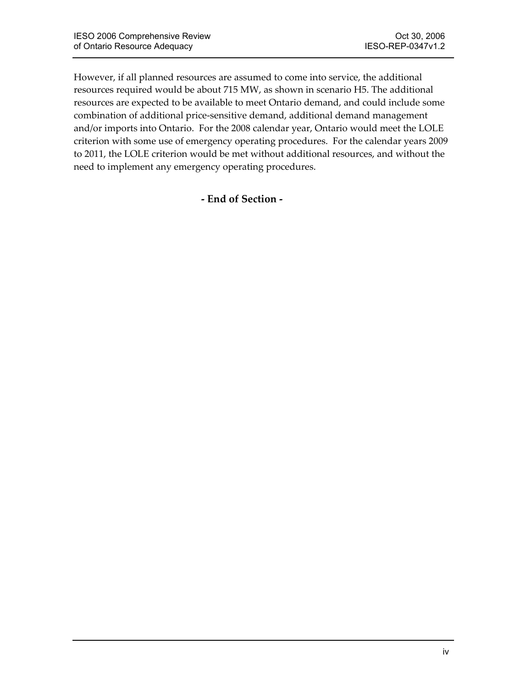However, if all planned resources are assumed to come into service, the additional resources required would be about 715 MW, as shown in scenario H5. The additional resources are expected to be available to meet Ontario demand, and could include some combination of additional price‐sensitive demand, additional demand management and/or imports into Ontario. For the 2008 calendar year, Ontario would meet the LOLE criterion with some use of emergency operating procedures. For the calendar years 2009 to 2011, the LOLE criterion would be met without additional resources, and without the need to implement any emergency operating procedures.

**‐ End of Section ‐**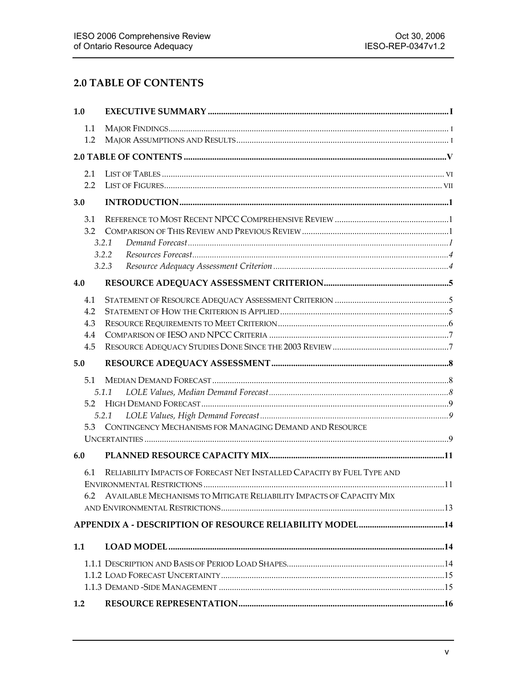## **2.0 TABLE OF CONTENTS**

| 1.0                             |                                                                                                                                                 |  |
|---------------------------------|-------------------------------------------------------------------------------------------------------------------------------------------------|--|
| 1.1<br>1.2                      |                                                                                                                                                 |  |
|                                 |                                                                                                                                                 |  |
| 2.1<br>2.2                      |                                                                                                                                                 |  |
| 3.0                             |                                                                                                                                                 |  |
| 3.1<br>3.2                      | 3.2.1<br>3.2.2<br>3.2.3                                                                                                                         |  |
| 4.0                             |                                                                                                                                                 |  |
| 4.1<br>4.2<br>4.3<br>4.4<br>4.5 |                                                                                                                                                 |  |
| 5.0                             |                                                                                                                                                 |  |
| 5.1<br>5.2<br>5.3               | 5.1.1<br>5.2.1<br>CONTINGENCY MECHANISMS FOR MANAGING DEMAND AND RESOURCE                                                                       |  |
| 6.0                             |                                                                                                                                                 |  |
| 6.1<br>6.2                      | RELIABILITY IMPACTS OF FORECAST NET INSTALLED CAPACITY BY FUEL TYPE AND<br>AVAILABLE MECHANISMS TO MITIGATE RELIABILITY IMPACTS OF CAPACITY MIX |  |
|                                 |                                                                                                                                                 |  |
| 1.1                             |                                                                                                                                                 |  |
|                                 |                                                                                                                                                 |  |
|                                 |                                                                                                                                                 |  |
|                                 |                                                                                                                                                 |  |
| 1.2                             |                                                                                                                                                 |  |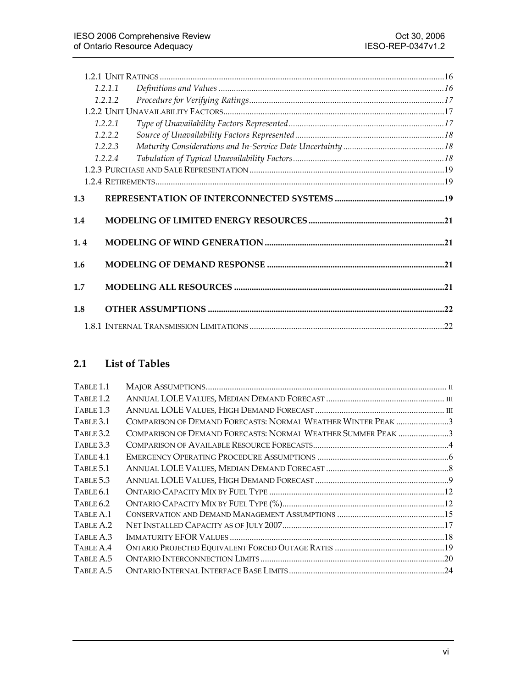|     | 1.2.1.1 |  |  |  |
|-----|---------|--|--|--|
|     | 1.2.1.2 |  |  |  |
|     |         |  |  |  |
|     | 1.2.2.1 |  |  |  |
|     | 1.2.2.2 |  |  |  |
|     | 1.2.2.3 |  |  |  |
|     | 1.2.2.4 |  |  |  |
|     |         |  |  |  |
|     |         |  |  |  |
| 1.3 |         |  |  |  |
|     |         |  |  |  |
| 1.4 |         |  |  |  |
| 1.4 |         |  |  |  |
| 1.6 |         |  |  |  |
| 1.7 |         |  |  |  |
| 1.8 |         |  |  |  |

## **2.1 List of Tables**

| TABLE <sub>1.1</sub> |                                                              |  |
|----------------------|--------------------------------------------------------------|--|
| TABLE 1.2            |                                                              |  |
| TABLE 1.3            |                                                              |  |
| TABLE 3.1            | COMPARISON OF DEMAND FORECASTS: NORMAL WEATHER WINTER PEAK 3 |  |
| TABLE 3.2            | COMPARISON OF DEMAND FORECASTS: NORMAL WEATHER SUMMER PEAK 3 |  |
| TABLE 3.3            |                                                              |  |
| TABLE 4.1            |                                                              |  |
| TABLE 5.1            |                                                              |  |
| TABLE 5.3            |                                                              |  |
| TABLE <sub>6.1</sub> |                                                              |  |
| TABLE <sub>6.2</sub> |                                                              |  |
| TABLE A 1            |                                                              |  |
| TABLE A.2            |                                                              |  |
| TABLE A.3            |                                                              |  |
| TABLE A.4            |                                                              |  |
| TABLE A.5            |                                                              |  |
| TABLE A.5            |                                                              |  |
|                      |                                                              |  |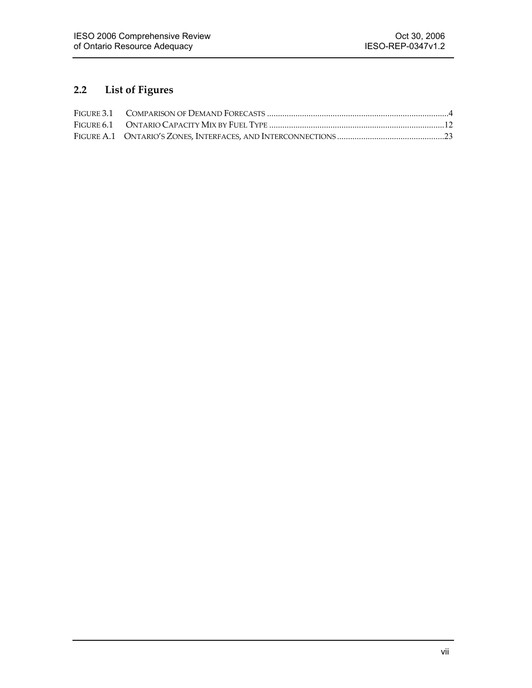## **2.2 List of Figures**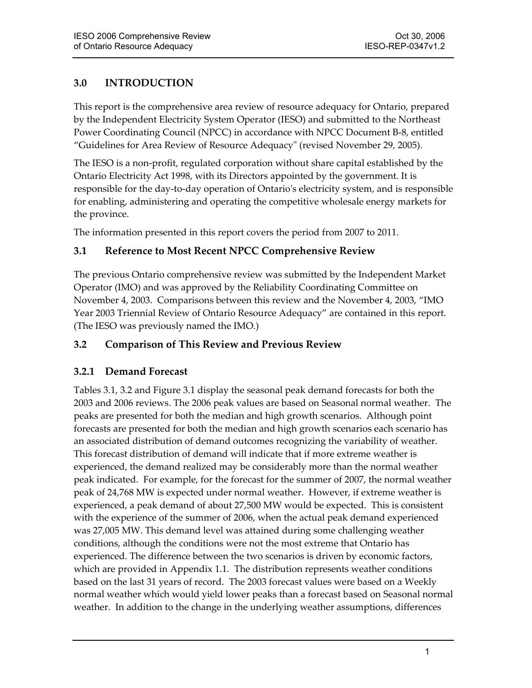## **3.0 INTRODUCTION**

This report is the comprehensive area review of resource adequacy for Ontario, prepared by the Independent Electricity System Operator (IESO) and submitted to the Northeast Power Coordinating Council (NPCC) in accordance with NPCC Document B‐8, entitled "Guidelines for Area Review of Resource Adequacyʺ (revised November 29, 2005).

The IESO is a non‐profit, regulated corporation without share capital established by the Ontario Electricity Act 1998, with its Directors appointed by the government. It is responsible for the day‐to‐day operation of Ontarioʹs electricity system, and is responsible for enabling, administering and operating the competitive wholesale energy markets for the province.

The information presented in this report covers the period from 2007 to 2011.

## **3.1 Reference to Most Recent NPCC Comprehensive Review**

The previous Ontario comprehensive review was submitted by the Independent Market Operator (IMO) and was approved by the Reliability Coordinating Committee on November 4, 2003. Comparisons between this review and the November 4, 2003, "IMO Year 2003 Triennial Review of Ontario Resource Adequacy" are contained in this report. (The IESO was previously named the IMO.)

## **3.2 Comparison of This Review and Previous Review**

## **3.2.1 Demand Forecast**

Tables 3.1, 3.2 and Figure 3.1 display the seasonal peak demand forecasts for both the 2003 and 2006 reviews. The 2006 peak values are based on Seasonal normal weather. The peaks are presented for both the median and high growth scenarios. Although point forecasts are presented for both the median and high growth scenarios each scenario has an associated distribution of demand outcomes recognizing the variability of weather. This forecast distribution of demand will indicate that if more extreme weather is experienced, the demand realized may be considerably more than the normal weather peak indicated. For example, for the forecast for the summer of 2007, the normal weather peak of 24,768 MW is expected under normal weather. However, if extreme weather is experienced, a peak demand of about 27,500 MW would be expected. This is consistent with the experience of the summer of 2006, when the actual peak demand experienced was 27,005 MW. This demand level was attained during some challenging weather conditions, although the conditions were not the most extreme that Ontario has experienced. The difference between the two scenarios is driven by economic factors, which are provided in Appendix 1.1. The distribution represents weather conditions based on the last 31 years of record. The 2003 forecast values were based on a Weekly normal weather which would yield lower peaks than a forecast based on Seasonal normal weather. In addition to the change in the underlying weather assumptions, differences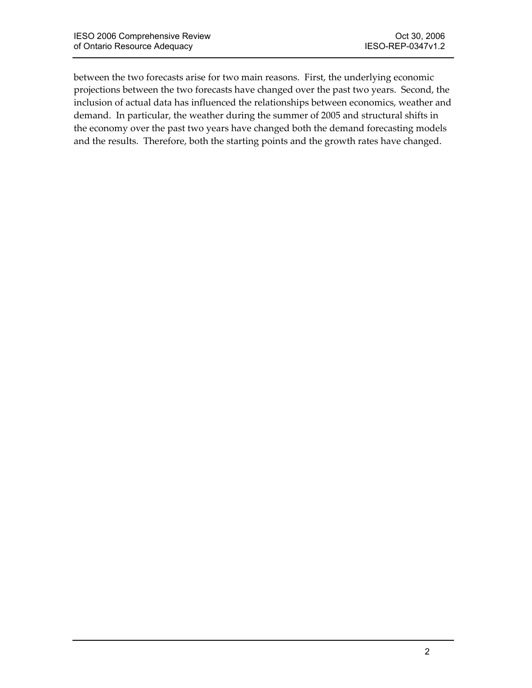between the two forecasts arise for two main reasons. First, the underlying economic projections between the two forecasts have changed over the past two years. Second, the inclusion of actual data has influenced the relationships between economics, weather and demand. In particular, the weather during the summer of 2005 and structural shifts in the economy over the past two years have changed both the demand forecasting models and the results. Therefore, both the starting points and the growth rates have changed.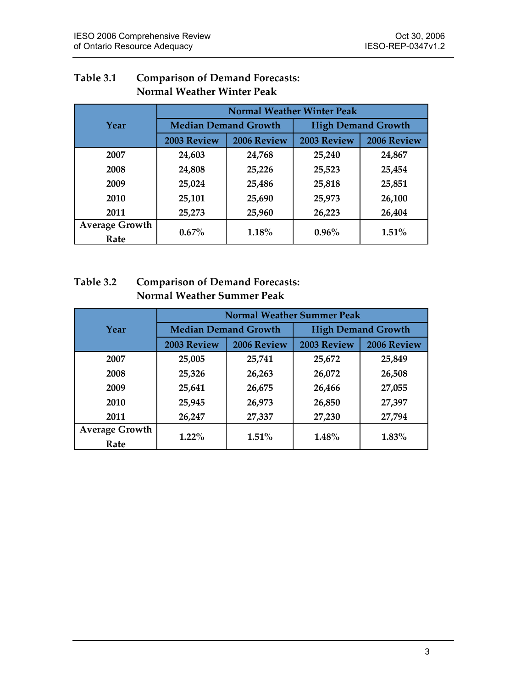|                       |                             | <b>Normal Weather Winter Peak</b> |          |                           |  |  |
|-----------------------|-----------------------------|-----------------------------------|----------|---------------------------|--|--|
| Year                  | <b>Median Demand Growth</b> |                                   |          | <b>High Demand Growth</b> |  |  |
|                       | 2003 Review                 | 2003 Review<br>2006 Review        |          | 2006 Review               |  |  |
| 2007                  | 24,603                      | 24,768                            | 25,240   | 24,867                    |  |  |
| 2008                  | 24,808                      | 25,226                            | 25,523   | 25,454                    |  |  |
| 2009                  | 25,024                      | 25,486                            | 25,818   | 25,851                    |  |  |
| 2010                  | 25,101                      | 25,690                            | 25,973   | 26,100                    |  |  |
| 2011                  | 25,273                      | 25,960                            | 26,223   | 26,404                    |  |  |
| <b>Average Growth</b> | $0.67\%$                    | 1.18%                             | $0.96\%$ | 1.51%                     |  |  |
| Rate                  |                             |                                   |          |                           |  |  |

## **Table 3.1 Comparison of Demand Forecasts: Normal Weather Winter Peak**

## **Table 3.2 Comparison of Demand Forecasts: Normal Weather Summer Peak**

|                       |                             | <b>Normal Weather Summer Peak</b> |        |                           |  |  |
|-----------------------|-----------------------------|-----------------------------------|--------|---------------------------|--|--|
| Year                  | <b>Median Demand Growth</b> |                                   |        | <b>High Demand Growth</b> |  |  |
|                       | 2003 Review                 | 2006 Review                       |        | 2006 Review               |  |  |
| 2007                  | 25,005                      | 25,741                            | 25,672 | 25,849                    |  |  |
| 2008                  | 25,326                      | 26,263                            | 26,072 | 26,508                    |  |  |
| 2009                  | 25,641                      | 26,675                            | 26,466 | 27,055                    |  |  |
| 2010                  | 25,945                      | 26,973                            | 26,850 | 27,397                    |  |  |
| 2011                  | 26,247                      | 27,337                            | 27,230 | 27,794                    |  |  |
| <b>Average Growth</b> | $1.22\%$                    | 1.51%                             | 1.48%  | $1.83\%$                  |  |  |
| Rate                  |                             |                                   |        |                           |  |  |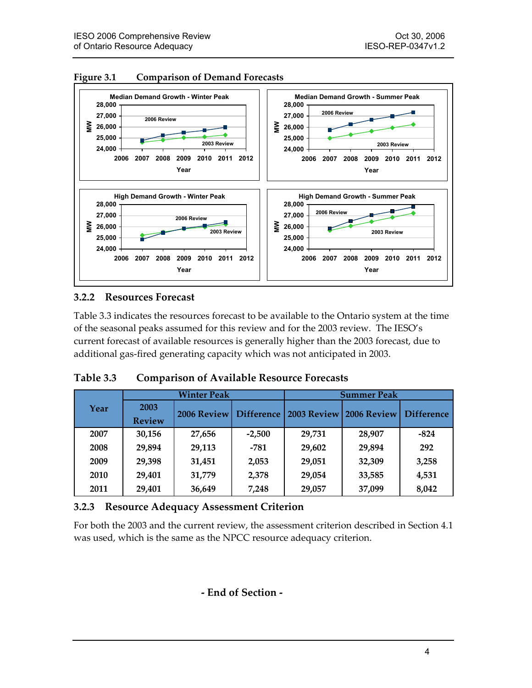



#### **3.2.2 Resources Forecast**

Table 3.3 indicates the resources forecast to be available to the Ontario system at the time of the seasonal peaks assumed for this review and for the 2003 review. The IESO's current forecast of available resources is generally higher than the 2003 forecast, due to additional gas‐fired generating capacity which was not anticipated in 2003.

| Table 3.3 | <b>Comparison of Available Resource Forecasts</b> |
|-----------|---------------------------------------------------|
|-----------|---------------------------------------------------|

|      |                       | <b>Winter Peak</b> |                   | <b>Summer Peak</b> |             |                   |
|------|-----------------------|--------------------|-------------------|--------------------|-------------|-------------------|
| Year | 2003<br><b>Review</b> | 2006 Review        | <b>Difference</b> | 2003 Review        | 2006 Review | <b>Difference</b> |
| 2007 | 30,156                | 27,656             | $-2,500$          | 29,731             | 28,907      | $-824$            |
| 2008 | 29,894                | 29,113             | -781              | 29,602             | 29,894      | 292               |
| 2009 | 29,398                | 31,451             | 2,053             | 29,051             | 32,309      | 3,258             |
| 2010 | 29,401                | 31,779             | 2,378             | 29,054             | 33,585      | 4,531             |
| 2011 | 29,401                | 36,649             | 7,248             | 29,057             | 37,099      | 8,042             |

#### **3.2.3 Resource Adequacy Assessment Criterion**

For both the 2003 and the current review, the assessment criterion described in Section 4.1 was used, which is the same as the NPCC resource adequacy criterion.

#### **‐ End of Section ‐**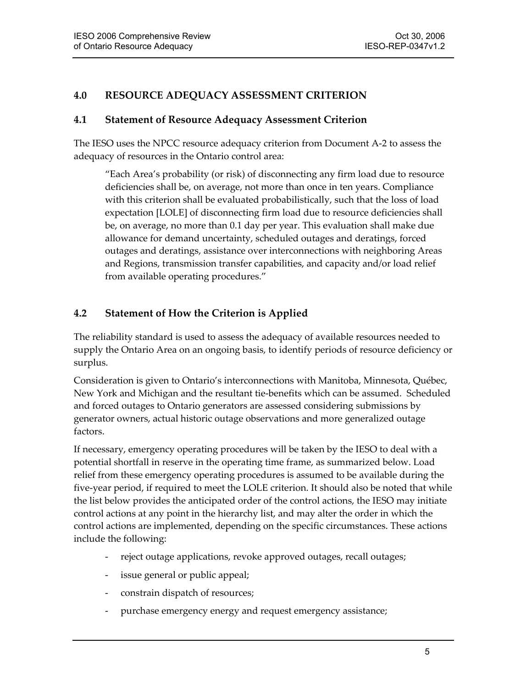#### **4.0 RESOURCE ADEQUACY ASSESSMENT CRITERION**

#### **4.1 Statement of Resource Adequacy Assessment Criterion**

The IESO uses the NPCC resource adequacy criterion from Document A‐2 to assess the adequacy of resources in the Ontario control area:

"Each Area's probability (or risk) of disconnecting any firm load due to resource deficiencies shall be, on average, not more than once in ten years. Compliance with this criterion shall be evaluated probabilistically, such that the loss of load expectation [LOLE] of disconnecting firm load due to resource deficiencies shall be, on average, no more than 0.1 day per year. This evaluation shall make due allowance for demand uncertainty, scheduled outages and deratings, forced outages and deratings, assistance over interconnections with neighboring Areas and Regions, transmission transfer capabilities, and capacity and/or load relief from available operating procedures."

#### **4.2 Statement of How the Criterion is Applied**

The reliability standard is used to assess the adequacy of available resources needed to supply the Ontario Area on an ongoing basis, to identify periods of resource deficiency or surplus.

Consideration is given to Ontario's interconnections with Manitoba, Minnesota, Québec, New York and Michigan and the resultant tie‐benefits which can be assumed. Scheduled and forced outages to Ontario generators are assessed considering submissions by generator owners, actual historic outage observations and more generalized outage factors.

If necessary, emergency operating procedures will be taken by the IESO to deal with a potential shortfall in reserve in the operating time frame, as summarized below. Load relief from these emergency operating procedures is assumed to be available during the five‐year period, if required to meet the LOLE criterion. It should also be noted that while the list below provides the anticipated order of the control actions, the IESO may initiate control actions at any point in the hierarchy list, and may alter the order in which the control actions are implemented, depending on the specific circumstances. These actions include the following:

- ‐ reject outage applications, revoke approved outages, recall outages;
- issue general or public appeal;
- ‐ constrain dispatch of resources;
- purchase emergency energy and request emergency assistance;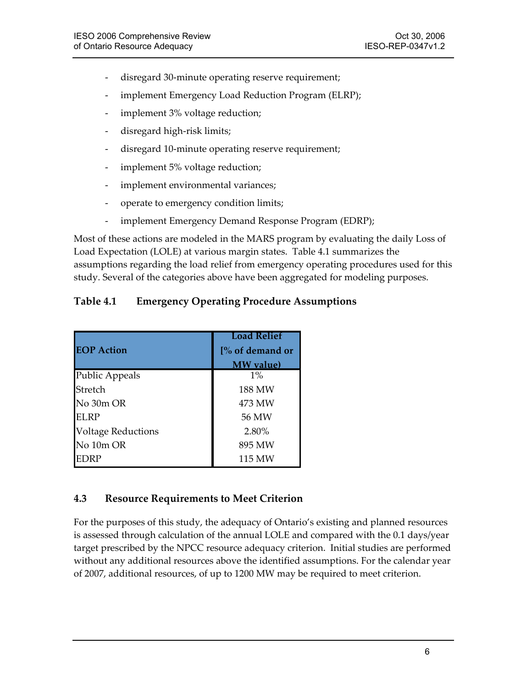- ‐ disregard 30‐minute operating reserve requirement;
- implement Emergency Load Reduction Program (ELRP);
- implement 3% voltage reduction;
- ‐ disregard high‐risk limits;
- ‐ disregard 10‐minute operating reserve requirement;
- implement 5% voltage reduction;
- implement environmental variances;
- ‐ operate to emergency condition limits;
- implement Emergency Demand Response Program (EDRP);

Most of these actions are modeled in the MARS program by evaluating the daily Loss of Load Expectation (LOLE) at various margin states. Table 4.1 summarizes the assumptions regarding the load relief from emergency operating procedures used for this study. Several of the categories above have been aggregated for modeling purposes.

#### **Table 4.1 Emergency Operating Procedure Assumptions**

|                           | <b>Load Relief</b> |
|---------------------------|--------------------|
| <b>EOP Action</b>         | [% of demand or    |
|                           | <b>MW</b> value)   |
| Public Appeals            | $1\%$              |
| Stretch                   | 188 MW             |
| No 30m OR                 | 473 MW             |
| <b>ELRP</b>               | 56 MW              |
| <b>Voltage Reductions</b> | 2.80%              |
| No 10m OR                 | 895 MW             |
| EDRP                      | 115 MW             |

#### **4.3 Resource Requirements to Meet Criterion**

For the purposes of this study, the adequacy of Ontario's existing and planned resources is assessed through calculation of the annual LOLE and compared with the 0.1 days/year target prescribed by the NPCC resource adequacy criterion. Initial studies are performed without any additional resources above the identified assumptions. For the calendar year of 2007, additional resources, of up to 1200 MW may be required to meet criterion.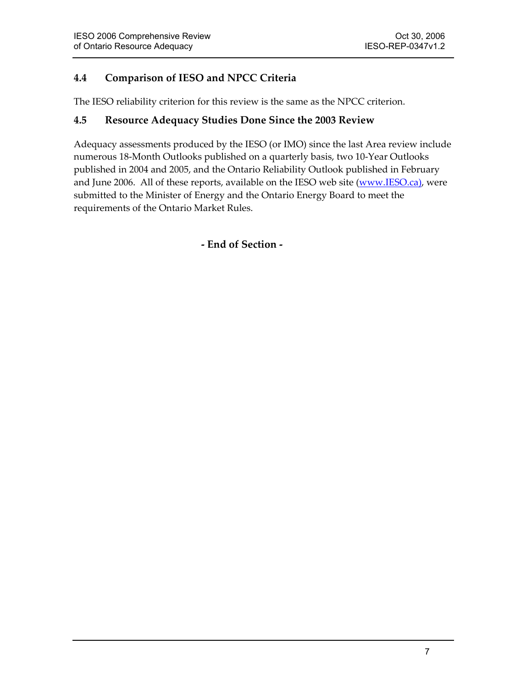## **4.4 Comparison of IESO and NPCC Criteria**

The IESO reliability criterion for this review is the same as the NPCC criterion.

#### **4.5 Resource Adequacy Studies Done Since the 2003 Review**

Adequacy assessments produced by the IESO (or IMO) since the last Area review include numerous 18‐Month Outlooks published on a quarterly basis, two 10‐Year Outlooks published in 2004 and 2005, and the Ontario Reliability Outlook published in February and June 2006. All of these reports, available on the IESO web site (www.IESO.ca), were submitted to the Minister of Energy and the Ontario Energy Board to meet the requirements of the Ontario Market Rules.

**‐ End of Section ‐**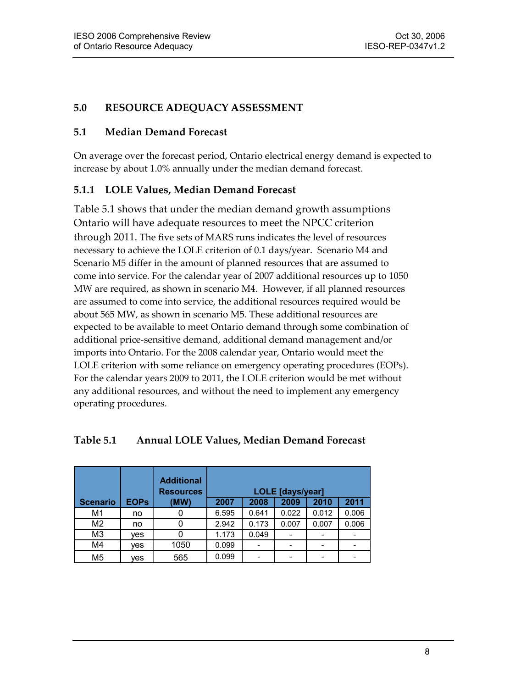#### **5.0 RESOURCE ADEQUACY ASSESSMENT**

#### **5.1 Median Demand Forecast**

On average over the forecast period, Ontario electrical energy demand is expected to increase by about 1.0% annually under the median demand forecast.

#### **5.1.1 LOLE Values, Median Demand Forecast**

Table 5.1 shows that under the median demand growth assumptions Ontario will have adequate resources to meet the NPCC criterion through 2011. The five sets of MARS runs indicates the level of resources necessary to achieve the LOLE criterion of 0.1 days/year. Scenario M4 and Scenario M5 differ in the amount of planned resources that are assumed to come into service. For the calendar year of 2007 additional resources up to 1050 MW are required, as shown in scenario M4. However, if all planned resources are assumed to come into service, the additional resources required would be about 565 MW, as shown in scenario M5. These additional resources are expected to be available to meet Ontario demand through some combination of additional price‐sensitive demand, additional demand management and/or imports into Ontario. For the 2008 calendar year, Ontario would meet the LOLE criterion with some reliance on emergency operating procedures (EOPs). For the calendar years 2009 to 2011, the LOLE criterion would be met without any additional resources, and without the need to implement any emergency operating procedures.

#### **Table 5.1 Annual LOLE Values, Median Demand Forecast**

|                 |             | <b>Additional</b><br><b>Resources</b> |       |       | <b>LOLE</b> [days/year] |       |       |
|-----------------|-------------|---------------------------------------|-------|-------|-------------------------|-------|-------|
| <b>Scenario</b> | <b>EOPs</b> | (MW)                                  | 2007  | 2008  | 2009                    | 2010  | 2011  |
| M1              | no          |                                       | 6.595 | 0.641 | 0.022                   | 0.012 | 0.006 |
| M2              | no          |                                       | 2.942 | 0.173 | 0.007                   | 0.007 | 0.006 |
| M3              | ves         |                                       | 1.173 | 0.049 |                         |       |       |
| M4              | ves         | 1050                                  | 0.099 |       |                         |       |       |
| M <sub>5</sub>  | ves         | 565                                   | 0.099 |       |                         |       |       |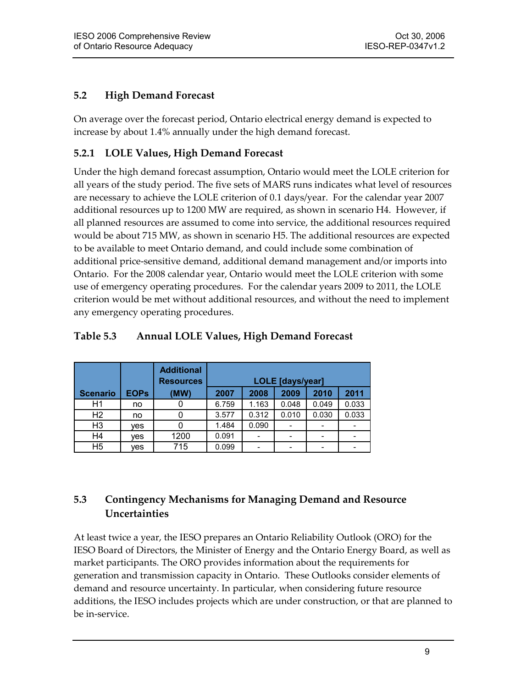## **5.2 High Demand Forecast**

On average over the forecast period, Ontario electrical energy demand is expected to increase by about 1.4% annually under the high demand forecast.

## **5.2.1 LOLE Values, High Demand Forecast**

Under the high demand forecast assumption, Ontario would meet the LOLE criterion for all years of the study period. The five sets of MARS runs indicates what level of resources are necessary to achieve the LOLE criterion of 0.1 days/year. For the calendar year 2007 additional resources up to 1200 MW are required, as shown in scenario H4. However, if all planned resources are assumed to come into service, the additional resources required would be about 715 MW, as shown in scenario H5. The additional resources are expected to be available to meet Ontario demand, and could include some combination of additional price‐sensitive demand, additional demand management and/or imports into Ontario. For the 2008 calendar year, Ontario would meet the LOLE criterion with some use of emergency operating procedures. For the calendar years 2009 to 2011, the LOLE criterion would be met without additional resources, and without the need to implement any emergency operating procedures.

|                 |             | <b>Additional</b><br><b>Resources</b> |       |       | <b>LOLE</b> [days/year] |       |       |
|-----------------|-------------|---------------------------------------|-------|-------|-------------------------|-------|-------|
| <b>Scenario</b> | <b>EOPs</b> | (MW)                                  | 2007  | 2008  | 2009                    | 2010  | 2011  |
| H1              | no          |                                       | 6.759 | 1.163 | 0.048                   | 0.049 | 0.033 |
| H <sub>2</sub>  | no          |                                       | 3.577 | 0.312 | 0.010                   | 0.030 | 0.033 |
| H <sub>3</sub>  | ves         |                                       | 1.484 | 0.090 |                         |       |       |
| H <sub>4</sub>  | ves         | 1200                                  | 0.091 |       |                         |       |       |
| H5              | ves         | 715                                   | 0.099 |       |                         |       |       |

#### **Table 5.3 Annual LOLE Values, High Demand Forecast**

## **5.3 Contingency Mechanisms for Managing Demand and Resource Uncertainties**

At least twice a year, the IESO prepares an Ontario Reliability Outlook (ORO) for the IESO Board of Directors, the Minister of Energy and the Ontario Energy Board, as well as market participants. The ORO provides information about the requirements for generation and transmission capacity in Ontario. These Outlooks consider elements of demand and resource uncertainty. In particular, when considering future resource additions, the IESO includes projects which are under construction, or that are planned to be in‐service.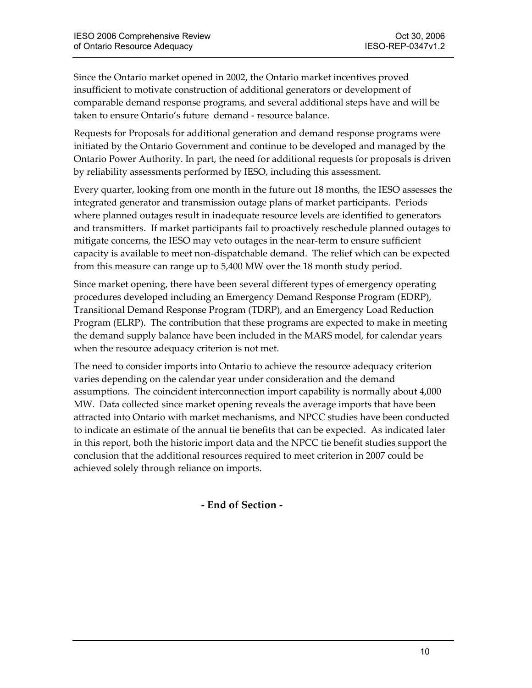Since the Ontario market opened in 2002, the Ontario market incentives proved insufficient to motivate construction of additional generators or development of comparable demand response programs, and several additional steps have and will be taken to ensure Ontario's future demand ‐ resource balance.

Requests for Proposals for additional generation and demand response programs were initiated by the Ontario Government and continue to be developed and managed by the Ontario Power Authority. In part, the need for additional requests for proposals is driven by reliability assessments performed by IESO, including this assessment.

Every quarter, looking from one month in the future out 18 months, the IESO assesses the integrated generator and transmission outage plans of market participants. Periods where planned outages result in inadequate resource levels are identified to generators and transmitters. If market participants fail to proactively reschedule planned outages to mitigate concerns, the IESO may veto outages in the near‐term to ensure sufficient capacity is available to meet non‐dispatchable demand. The relief which can be expected from this measure can range up to 5,400 MW over the 18 month study period.

Since market opening, there have been several different types of emergency operating procedures developed including an Emergency Demand Response Program (EDRP), Transitional Demand Response Program (TDRP), and an Emergency Load Reduction Program (ELRP). The contribution that these programs are expected to make in meeting the demand supply balance have been included in the MARS model, for calendar years when the resource adequacy criterion is not met.

The need to consider imports into Ontario to achieve the resource adequacy criterion varies depending on the calendar year under consideration and the demand assumptions. The coincident interconnection import capability is normally about 4,000 MW. Data collected since market opening reveals the average imports that have been attracted into Ontario with market mechanisms, and NPCC studies have been conducted to indicate an estimate of the annual tie benefits that can be expected. As indicated later in this report, both the historic import data and the NPCC tie benefit studies support the conclusion that the additional resources required to meet criterion in 2007 could be achieved solely through reliance on imports.

**‐ End of Section ‐**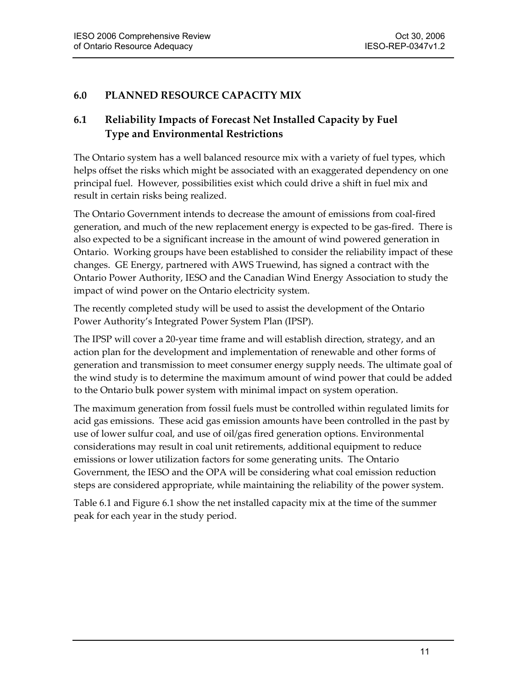#### **6.0 PLANNED RESOURCE CAPACITY MIX**

## **6.1 Reliability Impacts of Forecast Net Installed Capacity by Fuel Type and Environmental Restrictions**

The Ontario system has a well balanced resource mix with a variety of fuel types, which helps offset the risks which might be associated with an exaggerated dependency on one principal fuel. However, possibilities exist which could drive a shift in fuel mix and result in certain risks being realized.

The Ontario Government intends to decrease the amount of emissions from coal‐fired generation, and much of the new replacement energy is expected to be gas-fired. There is also expected to be a significant increase in the amount of wind powered generation in Ontario. Working groups have been established to consider the reliability impact of these changes. GE Energy, partnered with AWS Truewind, has signed a contract with the Ontario Power Authority, IESO and the Canadian Wind Energy Association to study the impact of wind power on the Ontario electricity system.

The recently completed study will be used to assist the development of the Ontario Power Authority's Integrated Power System Plan (IPSP).

The IPSP will cover a 20-year time frame and will establish direction, strategy, and an action plan for the development and implementation of renewable and other forms of generation and transmission to meet consumer energy supply needs. The ultimate goal of the wind study is to determine the maximum amount of wind power that could be added to the Ontario bulk power system with minimal impact on system operation.

The maximum generation from fossil fuels must be controlled within regulated limits for acid gas emissions. These acid gas emission amounts have been controlled in the past by use of lower sulfur coal, and use of oil/gas fired generation options. Environmental considerations may result in coal unit retirements, additional equipment to reduce emissions or lower utilization factors for some generating units. The Ontario Government, the IESO and the OPA will be considering what coal emission reduction steps are considered appropriate, while maintaining the reliability of the power system.

Table 6.1 and Figure 6.1 show the net installed capacity mix at the time of the summer peak for each year in the study period.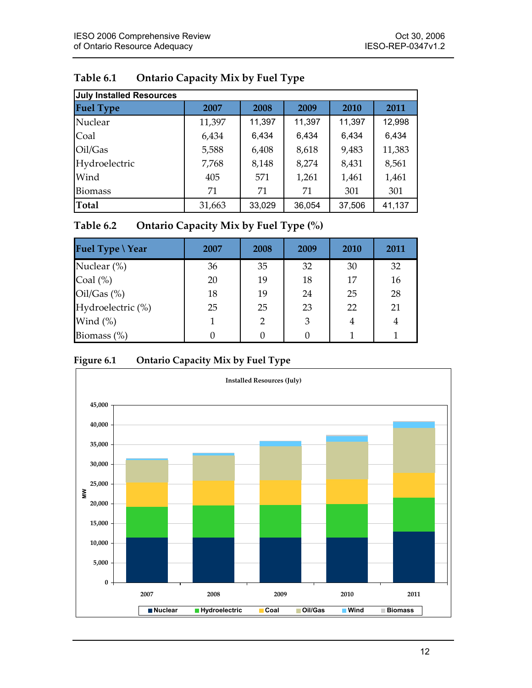| <b>July Installed Resources</b> |        |        |        |        |        |  |
|---------------------------------|--------|--------|--------|--------|--------|--|
| <b>Fuel Type</b>                | 2007   | 2008   | 2009   | 2010   | 2011   |  |
| Nuclear                         | 11,397 | 11,397 | 11,397 | 11,397 | 12,998 |  |
| Coal                            | 6,434  | 6,434  | 6,434  | 6,434  | 6,434  |  |
| Oil/Gas                         | 5,588  | 6,408  | 8,618  | 9,483  | 11,383 |  |
| Hydroelectric                   | 7,768  | 8,148  | 8,274  | 8,431  | 8,561  |  |
| Wind                            | 405    | 571    | 1,261  | 1,461  | 1,461  |  |
| <b>Biomass</b>                  | 71     | 71     | 71     | 301    | 301    |  |
| Total                           | 31,663 | 33,029 | 36,054 | 37,506 | 41,137 |  |

## **Table 6.1 Ontario Capacity Mix by Fuel Type**

## **Table 6.2 Ontario Capacity Mix by Fuel Type (%)**

| Fuel Type \ Year  | 2007 | 2008          | 2009             | 2010           | 2011           |
|-------------------|------|---------------|------------------|----------------|----------------|
| Nuclear (%)       | 36   | 35            | 32               | 30             | 32             |
| Coal $(\%)$       | 20   | 19            | 18               | 17             | 16             |
| $Oil/Gas$ (%)     | 18   | 19            | 24               | 25             | 28             |
| Hydroelectric (%) | 25   | 25            | 23               | 22             | 21             |
| Wind $(\%)$       |      | $\mathcal{P}$ | 3                | $\overline{4}$ | $\overline{4}$ |
| Biomass $(\%)$    |      |               | $\left( \right)$ |                |                |

#### **Figure 6.1 Ontario Capacity Mix by Fuel Type**

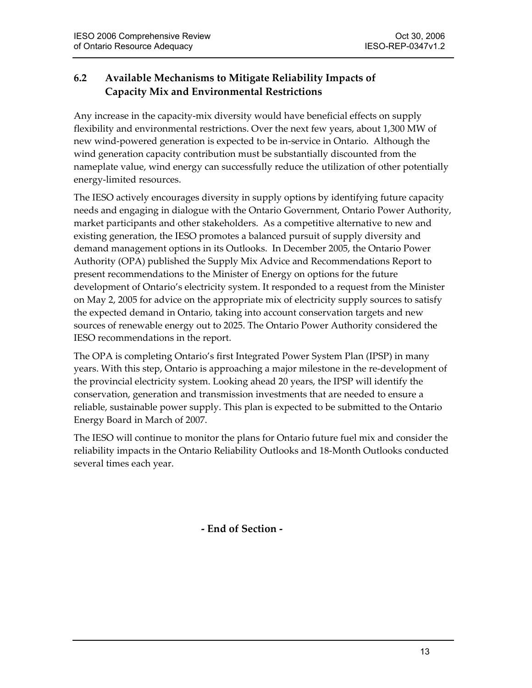## **6.2 Available Mechanisms to Mitigate Reliability Impacts of Capacity Mix and Environmental Restrictions**

Any increase in the capacity‐mix diversity would have beneficial effects on supply flexibility and environmental restrictions. Over the next few years, about 1,300 MW of new wind‐powered generation is expected to be in‐service in Ontario. Although the wind generation capacity contribution must be substantially discounted from the nameplate value, wind energy can successfully reduce the utilization of other potentially energy‐limited resources.

The IESO actively encourages diversity in supply options by identifying future capacity needs and engaging in dialogue with the Ontario Government, Ontario Power Authority, market participants and other stakeholders. As a competitive alternative to new and existing generation, the IESO promotes a balanced pursuit of supply diversity and demand management options in its Outlooks. In December 2005, the Ontario Power Authority (OPA) published the Supply Mix Advice and Recommendations Report to present recommendations to the Minister of Energy on options for the future development of Ontario's electricity system. It responded to a request from the Minister on May 2, 2005 for advice on the appropriate mix of electricity supply sources to satisfy the expected demand in Ontario, taking into account conservation targets and new sources of renewable energy out to 2025. The Ontario Power Authority considered the IESO recommendations in the report.

The OPA is completing Ontario's first Integrated Power System Plan (IPSP) in many years. With this step, Ontario is approaching a major milestone in the re‐development of the provincial electricity system. Looking ahead 20 years, the IPSP will identify the conservation, generation and transmission investments that are needed to ensure a reliable, sustainable power supply. This plan is expected to be submitted to the Ontario Energy Board in March of 2007.

The IESO will continue to monitor the plans for Ontario future fuel mix and consider the reliability impacts in the Ontario Reliability Outlooks and 18‐Month Outlooks conducted several times each year.

**‐ End of Section ‐**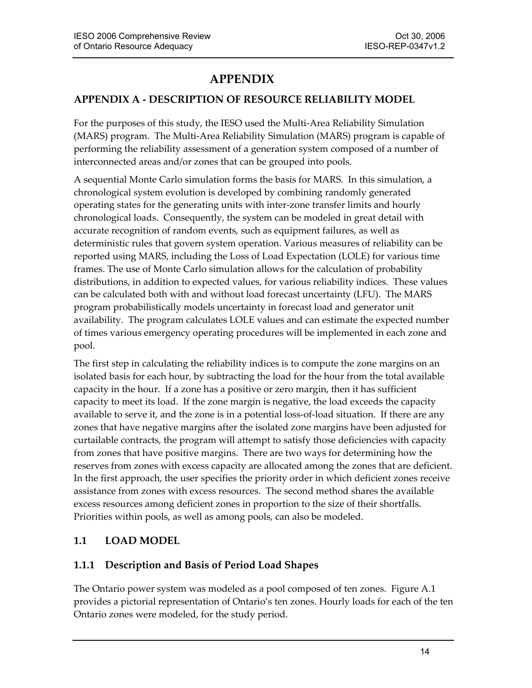## **APPENDIX**

#### **APPENDIX A ‐ DESCRIPTION OF RESOURCE RELIABILITY MODEL**

For the purposes of this study, the IESO used the Multi‐Area Reliability Simulation (MARS) program. The Multi‐Area Reliability Simulation (MARS) program is capable of performing the reliability assessment of a generation system composed of a number of interconnected areas and/or zones that can be grouped into pools.

A sequential Monte Carlo simulation forms the basis for MARS. In this simulation, a chronological system evolution is developed by combining randomly generated operating states for the generating units with inter‐zone transfer limits and hourly chronological loads. Consequently, the system can be modeled in great detail with accurate recognition of random events, such as equipment failures, as well as deterministic rules that govern system operation. Various measures of reliability can be reported using MARS, including the Loss of Load Expectation (LOLE) for various time frames. The use of Monte Carlo simulation allows for the calculation of probability distributions, in addition to expected values, for various reliability indices. These values can be calculated both with and without load forecast uncertainty (LFU). The MARS program probabilistically models uncertainty in forecast load and generator unit availability. The program calculates LOLE values and can estimate the expected number of times various emergency operating procedures will be implemented in each zone and pool.

The first step in calculating the reliability indices is to compute the zone margins on an isolated basis for each hour, by subtracting the load for the hour from the total available capacity in the hour. If a zone has a positive or zero margin, then it has sufficient capacity to meet its load. If the zone margin is negative, the load exceeds the capacity available to serve it, and the zone is in a potential loss‐of‐load situation. If there are any zones that have negative margins after the isolated zone margins have been adjusted for curtailable contracts, the program will attempt to satisfy those deficiencies with capacity from zones that have positive margins. There are two ways for determining how the reserves from zones with excess capacity are allocated among the zones that are deficient. In the first approach, the user specifies the priority order in which deficient zones receive assistance from zones with excess resources. The second method shares the available excess resources among deficient zones in proportion to the size of their shortfalls. Priorities within pools, as well as among pools, can also be modeled.

#### **1.1 LOAD MODEL**

#### **1.1.1 Description and Basis of Period Load Shapes**

The Ontario power system was modeled as a pool composed of ten zones. Figure A.1 provides a pictorial representation of Ontario's ten zones. Hourly loads for each of the ten Ontario zones were modeled, for the study period.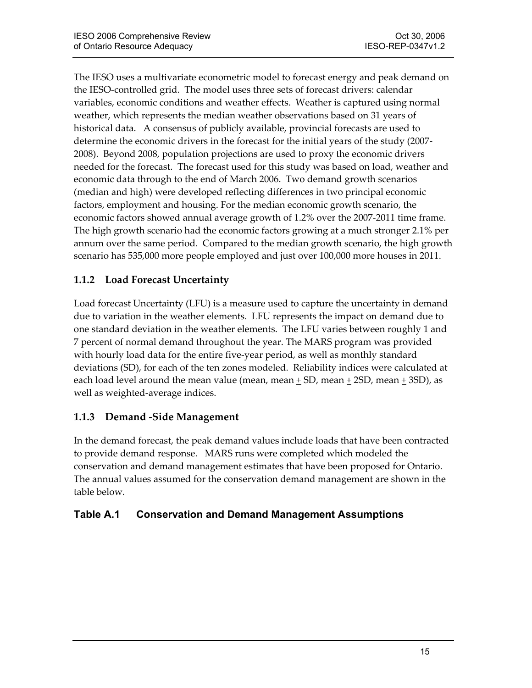The IESO uses a multivariate econometric model to forecast energy and peak demand on the IESO‐controlled grid. The model uses three sets of forecast drivers: calendar variables, economic conditions and weather effects. Weather is captured using normal weather, which represents the median weather observations based on 31 years of historical data. A consensus of publicly available, provincial forecasts are used to determine the economic drivers in the forecast for the initial years of the study (2007‐ 2008). Beyond 2008, population projections are used to proxy the economic drivers needed for the forecast. The forecast used for this study was based on load, weather and economic data through to the end of March 2006. Two demand growth scenarios (median and high) were developed reflecting differences in two principal economic factors, employment and housing. For the median economic growth scenario, the economic factors showed annual average growth of 1.2% over the 2007-2011 time frame. The high growth scenario had the economic factors growing at a much stronger 2.1% per annum over the same period. Compared to the median growth scenario, the high growth scenario has 535,000 more people employed and just over 100,000 more houses in 2011.

## **1.1.2 Load Forecast Uncertainty**

Load forecast Uncertainty (LFU) is a measure used to capture the uncertainty in demand due to variation in the weather elements. LFU represents the impact on demand due to one standard deviation in the weather elements. The LFU varies between roughly 1 and 7 percent of normal demand throughout the year. The MARS program was provided with hourly load data for the entire five-year period, as well as monthly standard deviations (SD), for each of the ten zones modeled. Reliability indices were calculated at each load level around the mean value (mean, mean  $\pm$  SD, mean  $\pm$  2SD, mean  $\pm$  3SD), as well as weighted‐average indices.

#### **1.1.3 Demand ‐Side Management**

In the demand forecast, the peak demand values include loads that have been contracted to provide demand response. MARS runs were completed which modeled the conservation and demand management estimates that have been proposed for Ontario. The annual values assumed for the conservation demand management are shown in the table below.

## **Table A.1 Conservation and Demand Management Assumptions**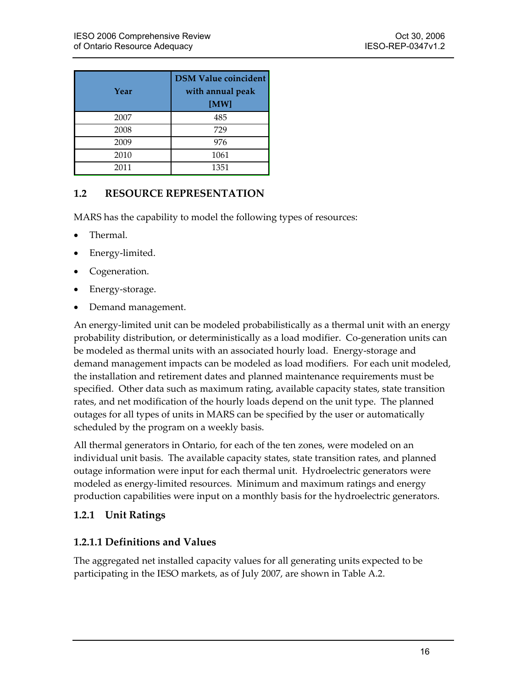| Year | <b>DSM Value coincident</b><br>with annual peak<br>[MW] |
|------|---------------------------------------------------------|
| 2007 | 485                                                     |
| 2008 | 729                                                     |
| 2009 | 976                                                     |
| 2010 | 1061                                                    |
| 2011 | 1351                                                    |

#### **1.2 RESOURCE REPRESENTATION**

MARS has the capability to model the following types of resources:

- Thermal.
- Energy‐limited.
- Cogeneration.
- Energy‐storage.
- Demand management.

An energy-limited unit can be modeled probabilistically as a thermal unit with an energy probability distribution, or deterministically as a load modifier. Co-generation units can be modeled as thermal units with an associated hourly load. Energy-storage and demand management impacts can be modeled as load modifiers. For each unit modeled, the installation and retirement dates and planned maintenance requirements must be specified. Other data such as maximum rating, available capacity states, state transition rates, and net modification of the hourly loads depend on the unit type. The planned outages for all types of units in MARS can be specified by the user or automatically scheduled by the program on a weekly basis.

All thermal generators in Ontario, for each of the ten zones, were modeled on an individual unit basis. The available capacity states, state transition rates, and planned outage information were input for each thermal unit. Hydroelectric generators were modeled as energy‐limited resources. Minimum and maximum ratings and energy production capabilities were input on a monthly basis for the hydroelectric generators.

#### **1.2.1 Unit Ratings**

#### **1.2.1.1 Definitions and Values**

The aggregated net installed capacity values for all generating units expected to be participating in the IESO markets, as of July 2007, are shown in Table A.2.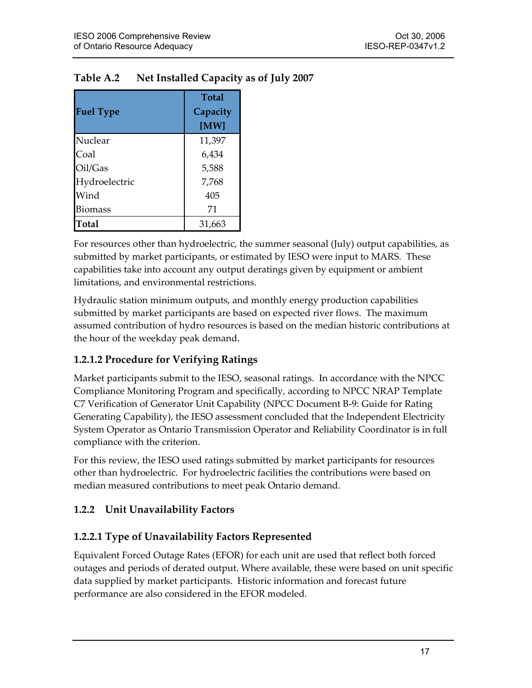|                  | <b>Total</b> |
|------------------|--------------|
| <b>Fuel Type</b> | Capacity     |
|                  | [MW]         |
| Nuclear          | 11,397       |
| Coal             | 6,434        |
| Oil/Gas          | 5,588        |
| Hydroelectric    | 7,768        |
| Wind             | 405          |
| Biomass          | 71           |
| Total            | 31,663       |

## **Table A.2 Net Installed Capacity as of July 2007**

For resources other than hydroelectric, the summer seasonal (July) output capabilities, as submitted by market participants, or estimated by IESO were input to MARS. These capabilities take into account any output deratings given by equipment or ambient limitations, and environmental restrictions.

Hydraulic station minimum outputs, and monthly energy production capabilities submitted by market participants are based on expected river flows. The maximum assumed contribution of hydro resources is based on the median historic contributions at the hour of the weekday peak demand.

## **1.2.1.2 Procedure for Verifying Ratings**

Market participants submit to the IESO, seasonal ratings. In accordance with the NPCC Compliance Monitoring Program and specifically, according to NPCC NRAP Template C7 Verification of Generator Unit Capability (NPCC Document B‐9: Guide for Rating Generating Capability), the IESO assessment concluded that the Independent Electricity System Operator as Ontario Transmission Operator and Reliability Coordinator is in full compliance with the criterion.

For this review, the IESO used ratings submitted by market participants for resources other than hydroelectric. For hydroelectric facilities the contributions were based on median measured contributions to meet peak Ontario demand.

## **1.2.2 Unit Unavailability Factors**

## **1.2.2.1 Type of Unavailability Factors Represented**

Equivalent Forced Outage Rates (EFOR) for each unit are used that reflect both forced outages and periods of derated output. Where available, these were based on unit specific data supplied by market participants. Historic information and forecast future performance are also considered in the EFOR modeled.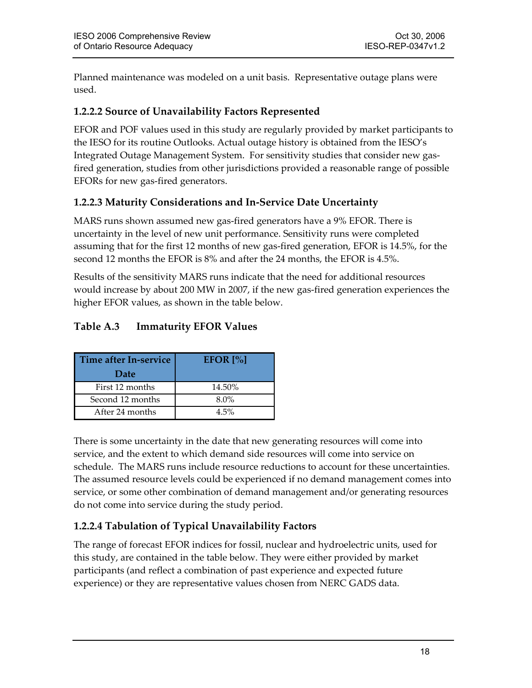Planned maintenance was modeled on a unit basis. Representative outage plans were used.

#### **1.2.2.2 Source of Unavailability Factors Represented**

EFOR and POF values used in this study are regularly provided by market participants to the IESO for its routine Outlooks. Actual outage history is obtained from the IESO's Integrated Outage Management System. For sensitivity studies that consider new gas‐ fired generation, studies from other jurisdictions provided a reasonable range of possible EFORs for new gas‐fired generators.

#### **1.2.2.3 Maturity Considerations and In‐Service Date Uncertainty**

MARS runs shown assumed new gas-fired generators have a 9% EFOR. There is uncertainty in the level of new unit performance. Sensitivity runs were completed assuming that for the first 12 months of new gas‐fired generation, EFOR is 14.5%, for the second 12 months the EFOR is 8% and after the 24 months, the EFOR is 4.5%.

Results of the sensitivity MARS runs indicate that the need for additional resources would increase by about 200 MW in 2007, if the new gas-fired generation experiences the higher EFOR values, as shown in the table below.

#### **Table A.3 Immaturity EFOR Values**

| Time after In-service | EFOR $[%]$ |
|-----------------------|------------|
| Date                  |            |
| First 12 months       | 14.50%     |
| Second 12 months      | 8.0%       |
| After 24 months       | $4.5\%$    |

There is some uncertainty in the date that new generating resources will come into service, and the extent to which demand side resources will come into service on schedule. The MARS runs include resource reductions to account for these uncertainties. The assumed resource levels could be experienced if no demand management comes into service, or some other combination of demand management and/or generating resources do not come into service during the study period.

## **1.2.2.4 Tabulation of Typical Unavailability Factors**

The range of forecast EFOR indices for fossil, nuclear and hydroelectric units, used for this study, are contained in the table below. They were either provided by market participants (and reflect a combination of past experience and expected future experience) or they are representative values chosen from NERC GADS data.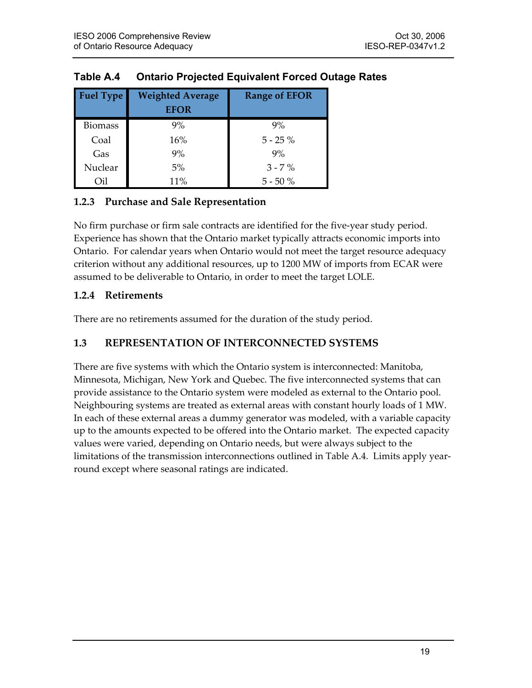| <b>Fuel Type</b> | <b>Weighted Average</b><br><b>EFOR</b> | <b>Range of EFOR</b> |
|------------------|----------------------------------------|----------------------|
| <b>Biomass</b>   | 9%                                     | 9%                   |
| Coal             | 16%                                    | $5 - 25\%$           |
| Gas              | 9%                                     | 9%                   |
| Nuclear          | 5%                                     | $3 - 7\%$            |
|                  | 11%                                    | $5 - 50\%$           |

## **Table A.4 Ontario Projected Equivalent Forced Outage Rates**

#### **1.2.3 Purchase and Sale Representation**

No firm purchase or firm sale contracts are identified for the five‐year study period. Experience has shown that the Ontario market typically attracts economic imports into Ontario. For calendar years when Ontario would not meet the target resource adequacy criterion without any additional resources, up to 1200 MW of imports from ECAR were assumed to be deliverable to Ontario, in order to meet the target LOLE.

#### **1.2.4 Retirements**

There are no retirements assumed for the duration of the study period.

#### **1.3 REPRESENTATION OF INTERCONNECTED SYSTEMS**

There are five systems with which the Ontario system is interconnected: Manitoba, Minnesota, Michigan, New York and Quebec. The five interconnected systems that can provide assistance to the Ontario system were modeled as external to the Ontario pool. Neighbouring systems are treated as external areas with constant hourly loads of 1 MW. In each of these external areas a dummy generator was modeled, with a variable capacity up to the amounts expected to be offered into the Ontario market. The expected capacity values were varied, depending on Ontario needs, but were always subject to the limitations of the transmission interconnections outlined in Table A.4. Limits apply yearround except where seasonal ratings are indicated.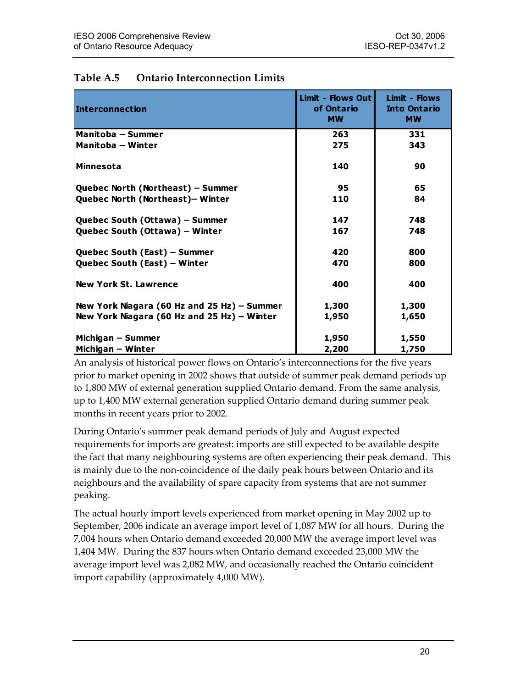| Interconnection                             | Limit - Flows Out I<br>of Ontario<br><b>MW</b> | Limit - Flows<br><b>Into Ontario</b><br><b>MW</b> |
|---------------------------------------------|------------------------------------------------|---------------------------------------------------|
| Manitoba - Summer                           | 263                                            | 331                                               |
| Manitoba – Winter                           | 275                                            | 343                                               |
| Minnesota                                   | 140                                            | 90                                                |
| Quebec North (Northeast) - Summer           | 95                                             | 65                                                |
| Quebec North (Northeast) - Winter           | 110                                            | 84                                                |
| Quebec South (Ottawa) - Summer              | 147                                            | 748                                               |
| Quebec South (Ottawa) - Winter              | 167                                            | 748                                               |
| Quebec South (East) – Summer                | 420                                            | 800                                               |
| Quebec South (East) - Winter                | 470                                            | 800                                               |
| <b>New York St. Lawrence</b>                | 400                                            | 400                                               |
| New York Niagara (60 Hz and 25 Hz) - Summer | 1,300                                          | 1,300                                             |
| New York Niagara (60 Hz and 25 Hz) - Winter | 1,950                                          | 1,650                                             |
| Michigan - Summer                           | 1,950                                          | 1,550                                             |
| Michigan - Winter                           | 2,200                                          | 1,750                                             |

### **Table A.5 Ontario Interconnection Limits**

An analysis of historical power flows on Ontario's interconnections for the five years prior to market opening in 2002 shows that outside of summer peak demand periods up to 1,800 MW of external generation supplied Ontario demand. From the same analysis, up to 1,400 MW external generation supplied Ontario demand during summer peak months in recent years prior to 2002.

During Ontarioʹs summer peak demand periods of July and August expected requirements for imports are greatest: imports are still expected to be available despite the fact that many neighbouring systems are often experiencing their peak demand. This is mainly due to the non‐coincidence of the daily peak hours between Ontario and its neighbours and the availability of spare capacity from systems that are not summer peaking.

The actual hourly import levels experienced from market opening in May 2002 up to September, 2006 indicate an average import level of 1,087 MW for all hours. During the 7,004 hours when Ontario demand exceeded 20,000 MW the average import level was 1,404 MW. During the 837 hours when Ontario demand exceeded 23,000 MW the average import level was 2,082 MW, and occasionally reached the Ontario coincident import capability (approximately 4,000 MW).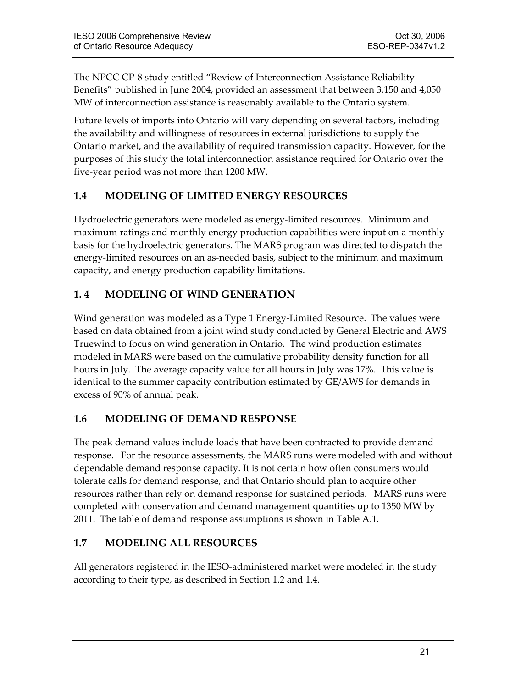The NPCC CP‐8 study entitled "Review of Interconnection Assistance Reliability Benefits" published in June 2004, provided an assessment that between 3,150 and 4,050 MW of interconnection assistance is reasonably available to the Ontario system.

Future levels of imports into Ontario will vary depending on several factors, including the availability and willingness of resources in external jurisdictions to supply the Ontario market, and the availability of required transmission capacity. However, for the purposes of this study the total interconnection assistance required for Ontario over the five‐year period was not more than 1200 MW.

## **1.4 MODELING OF LIMITED ENERGY RESOURCES**

Hydroelectric generators were modeled as energy‐limited resources. Minimum and maximum ratings and monthly energy production capabilities were input on a monthly basis for the hydroelectric generators. The MARS program was directed to dispatch the energy-limited resources on an as-needed basis, subject to the minimum and maximum capacity, and energy production capability limitations.

## **1. 4 MODELING OF WIND GENERATION**

Wind generation was modeled as a Type 1 Energy-Limited Resource. The values were based on data obtained from a joint wind study conducted by General Electric and AWS Truewind to focus on wind generation in Ontario. The wind production estimates modeled in MARS were based on the cumulative probability density function for all hours in July. The average capacity value for all hours in July was 17%. This value is identical to the summer capacity contribution estimated by GE/AWS for demands in excess of 90% of annual peak.

## **1.6 MODELING OF DEMAND RESPONSE**

The peak demand values include loads that have been contracted to provide demand response. For the resource assessments, the MARS runs were modeled with and without dependable demand response capacity. It is not certain how often consumers would tolerate calls for demand response, and that Ontario should plan to acquire other resources rather than rely on demand response for sustained periods. MARS runs were completed with conservation and demand management quantities up to 1350 MW by 2011. The table of demand response assumptions is shown in Table A.1.

## **1.7 MODELING ALL RESOURCES**

All generators registered in the IESO‐administered market were modeled in the study according to their type, as described in Section 1.2 and 1.4.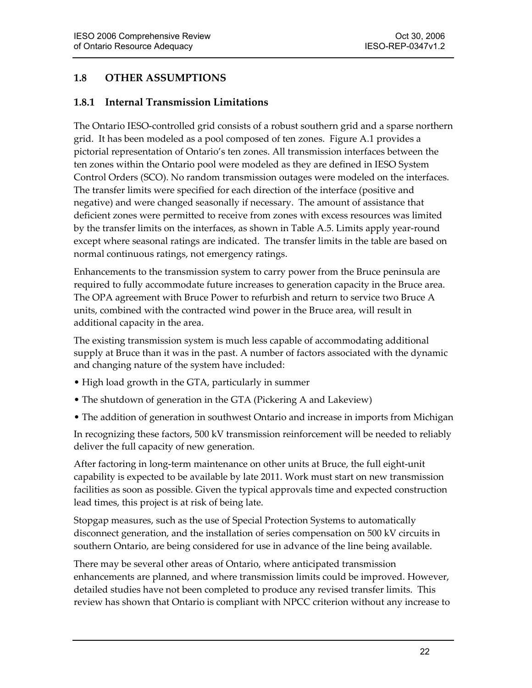#### **1.8 OTHER ASSUMPTIONS**

#### **1.8.1 Internal Transmission Limitations**

The Ontario IESO‐controlled grid consists of a robust southern grid and a sparse northern grid. It has been modeled as a pool composed of ten zones. Figure A.1 provides a pictorial representation of Ontario's ten zones. All transmission interfaces between the ten zones within the Ontario pool were modeled as they are defined in IESO System Control Orders (SCO). No random transmission outages were modeled on the interfaces. The transfer limits were specified for each direction of the interface (positive and negative) and were changed seasonally if necessary. The amount of assistance that deficient zones were permitted to receive from zones with excess resources was limited by the transfer limits on the interfaces, as shown in Table A.5. Limits apply year-round except where seasonal ratings are indicated. The transfer limits in the table are based on normal continuous ratings, not emergency ratings.

Enhancements to the transmission system to carry power from the Bruce peninsula are required to fully accommodate future increases to generation capacity in the Bruce area. The OPA agreement with Bruce Power to refurbish and return to service two Bruce A units, combined with the contracted wind power in the Bruce area, will result in additional capacity in the area.

The existing transmission system is much less capable of accommodating additional supply at Bruce than it was in the past. A number of factors associated with the dynamic and changing nature of the system have included:

- High load growth in the GTA, particularly in summer
- The shutdown of generation in the GTA (Pickering A and Lakeview)
- The addition of generation in southwest Ontario and increase in imports from Michigan

In recognizing these factors, 500 kV transmission reinforcement will be needed to reliably deliver the full capacity of new generation.

After factoring in long‐term maintenance on other units at Bruce, the full eight‐unit capability is expected to be available by late 2011. Work must start on new transmission facilities as soon as possible. Given the typical approvals time and expected construction lead times, this project is at risk of being late.

Stopgap measures, such as the use of Special Protection Systems to automatically disconnect generation, and the installation of series compensation on 500 kV circuits in southern Ontario, are being considered for use in advance of the line being available.

There may be several other areas of Ontario, where anticipated transmission enhancements are planned, and where transmission limits could be improved. However, detailed studies have not been completed to produce any revised transfer limits. This review has shown that Ontario is compliant with NPCC criterion without any increase to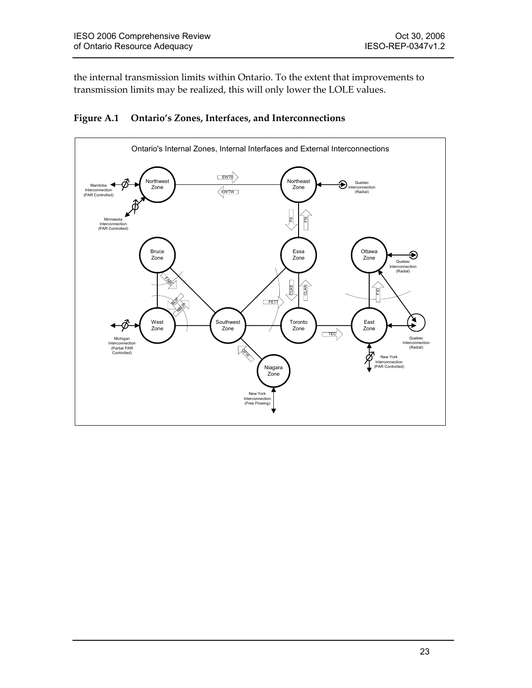the internal transmission limits within Ontario. To the extent that improvements to transmission limits may be realized, this will only lower the LOLE values.



#### **Figure A.1 Ontario's Zones, Interfaces, and Interconnections**